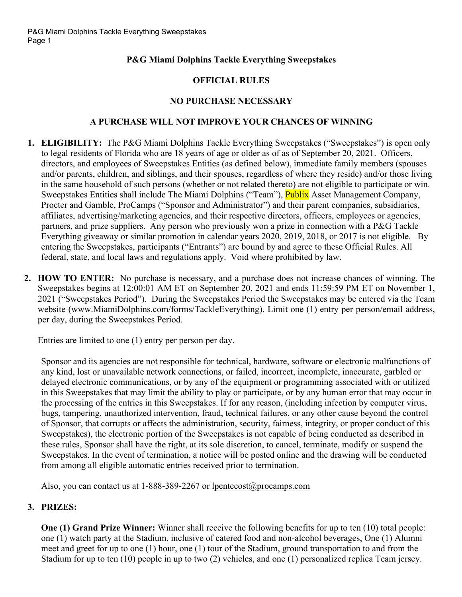# **P&G Miami Dolphins Tackle Everything Sweepstakes**

# **OFFICIAL RULES**

### **NO PURCHASE NECESSARY**

#### **A PURCHASE WILL NOT IMPROVE YOUR CHANCES OF WINNING**

- **1. ELIGIBILITY:** The P&G Miami Dolphins Tackle Everything Sweepstakes ("Sweepstakes") is open only to legal residents of Florida who are 18 years of age or older as of as of September 20, 2021. Officers, directors, and employees of Sweepstakes Entities (as defined below), immediate family members (spouses and/or parents, children, and siblings, and their spouses, regardless of where they reside) and/or those living in the same household of such persons (whether or not related thereto) are not eligible to participate or win. Sweepstakes Entities shall include The Miami Dolphins ("Team"), Publix Asset Management Company, Procter and Gamble, ProCamps ("Sponsor and Administrator") and their parent companies, subsidiaries, affiliates, advertising/marketing agencies, and their respective directors, officers, employees or agencies, partners, and prize suppliers. Any person who previously won a prize in connection with a P&G Tackle Everything giveaway or similar promotion in calendar years 2020, 2019, 2018, or 2017 is not eligible. By entering the Sweepstakes, participants ("Entrants") are bound by and agree to these Official Rules. All federal, state, and local laws and regulations apply. Void where prohibited by law.
- **2. HOW TO ENTER:** No purchase is necessary, and a purchase does not increase chances of winning. The Sweepstakes begins at 12:00:01 AM ET on September 20, 2021 and ends 11:59:59 PM ET on November 1, 2021 ("Sweepstakes Period"). During the Sweepstakes Period the Sweepstakes may be entered via the Team website (www.MiamiDolphins.com/forms/TackleEverything). Limit one (1) entry per person/email address, per day, during the Sweepstakes Period.

Entries are limited to one (1) entry per person per day.

Sponsor and its agencies are not responsible for technical, hardware, software or electronic malfunctions of any kind, lost or unavailable network connections, or failed, incorrect, incomplete, inaccurate, garbled or delayed electronic communications, or by any of the equipment or programming associated with or utilized in this Sweepstakes that may limit the ability to play or participate, or by any human error that may occur in the processing of the entries in this Sweepstakes. If for any reason, (including infection by computer virus, bugs, tampering, unauthorized intervention, fraud, technical failures, or any other cause beyond the control of Sponsor, that corrupts or affects the administration, security, fairness, integrity, or proper conduct of this Sweepstakes), the electronic portion of the Sweepstakes is not capable of being conducted as described in these rules, Sponsor shall have the right, at its sole discretion, to cancel, terminate, modify or suspend the Sweepstakes. In the event of termination, a notice will be posted online and the drawing will be conducted from among all eligible automatic entries received prior to termination.

Also, you can contact us at 1-888-389-2267 or lpentecost@procamps.com

### **3. PRIZES:**

**One (1) Grand Prize Winner:** Winner shall receive the following benefits for up to ten (10) total people: one (1) watch party at the Stadium, inclusive of catered food and non-alcohol beverages, One (1) Alumni meet and greet for up to one (1) hour, one (1) tour of the Stadium, ground transportation to and from the Stadium for up to ten (10) people in up to two (2) vehicles, and one (1) personalized replica Team jersey.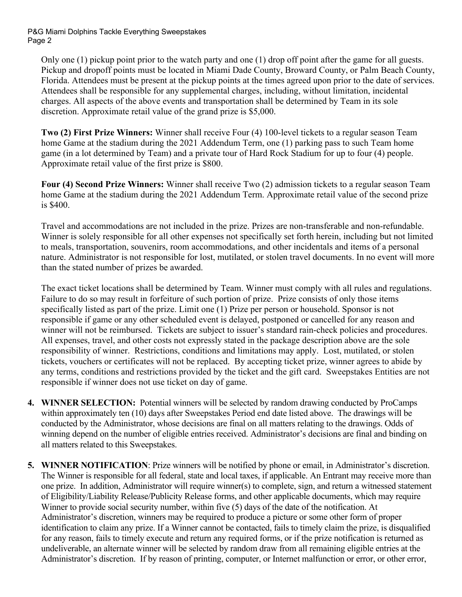P&G Miami Dolphins Tackle Everything Sweepstakes Page 2

Only one (1) pickup point prior to the watch party and one (1) drop off point after the game for all guests. Pickup and dropoff points must be located in Miami Dade County, Broward County, or Palm Beach County, Florida. Attendees must be present at the pickup points at the times agreed upon prior to the date of services. Attendees shall be responsible for any supplemental charges, including, without limitation, incidental charges. All aspects of the above events and transportation shall be determined by Team in its sole discretion. Approximate retail value of the grand prize is \$5,000.

**Two (2) First Prize Winners:** Winner shall receive Four (4) 100-level tickets to a regular season Team home Game at the stadium during the 2021 Addendum Term, one (1) parking pass to such Team home game (in a lot determined by Team) and a private tour of Hard Rock Stadium for up to four (4) people. Approximate retail value of the first prize is \$800.

**Four (4) Second Prize Winners:** Winner shall receive Two (2) admission tickets to a regular season Team home Game at the stadium during the 2021 Addendum Term. Approximate retail value of the second prize is \$400.

Travel and accommodations are not included in the prize. Prizes are non-transferable and non-refundable. Winner is solely responsible for all other expenses not specifically set forth herein, including but not limited to meals, transportation, souvenirs, room accommodations, and other incidentals and items of a personal nature. Administrator is not responsible for lost, mutilated, or stolen travel documents. In no event will more than the stated number of prizes be awarded.

The exact ticket locations shall be determined by Team. Winner must comply with all rules and regulations. Failure to do so may result in forfeiture of such portion of prize. Prize consists of only those items specifically listed as part of the prize. Limit one (1) Prize per person or household. Sponsor is not responsible if game or any other scheduled event is delayed, postponed or cancelled for any reason and winner will not be reimbursed. Tickets are subject to issuer's standard rain-check policies and procedures. All expenses, travel, and other costs not expressly stated in the package description above are the sole responsibility of winner. Restrictions, conditions and limitations may apply. Lost, mutilated, or stolen tickets, vouchers or certificates will not be replaced. By accepting ticket prize, winner agrees to abide by any terms, conditions and restrictions provided by the ticket and the gift card. Sweepstakes Entities are not responsible if winner does not use ticket on day of game.

- **4. WINNER SELECTION:** Potential winners will be selected by random drawing conducted by ProCamps within approximately ten (10) days after Sweepstakes Period end date listed above. The drawings will be conducted by the Administrator, whose decisions are final on all matters relating to the drawings. Odds of winning depend on the number of eligible entries received. Administrator's decisions are final and binding on all matters related to this Sweepstakes.
- **5. WINNER NOTIFICATION**: Prize winners will be notified by phone or email, in Administrator's discretion. The Winner is responsible for all federal, state and local taxes, if applicable. An Entrant may receive more than one prize. In addition, Administrator will require winner(s) to complete, sign, and return a witnessed statement of Eligibility/Liability Release/Publicity Release forms, and other applicable documents, which may require Winner to provide social security number, within five (5) days of the date of the notification. At Administrator's discretion, winners may be required to produce a picture or some other form of proper identification to claim any prize. If a Winner cannot be contacted, fails to timely claim the prize, is disqualified for any reason, fails to timely execute and return any required forms, or if the prize notification is returned as undeliverable, an alternate winner will be selected by random draw from all remaining eligible entries at the Administrator's discretion. If by reason of printing, computer, or Internet malfunction or error, or other error,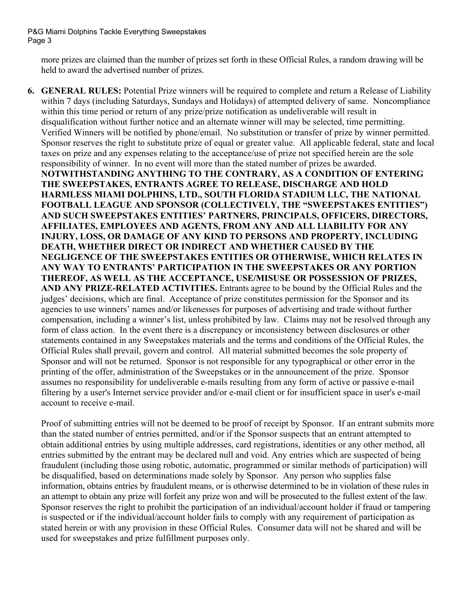P&G Miami Dolphins Tackle Everything Sweepstakes Page 3

more prizes are claimed than the number of prizes set forth in these Official Rules, a random drawing will be held to award the advertised number of prizes.

**6. GENERAL RULES:** Potential Prize winners will be required to complete and return a Release of Liability within 7 days (including Saturdays, Sundays and Holidays) of attempted delivery of same. Noncompliance within this time period or return of any prize/prize notification as undeliverable will result in disqualification without further notice and an alternate winner will may be selected, time permitting. Verified Winners will be notified by phone/email. No substitution or transfer of prize by winner permitted. Sponsor reserves the right to substitute prize of equal or greater value. All applicable federal, state and local taxes on prize and any expenses relating to the acceptance/use of prize not specified herein are the sole responsibility of winner. In no event will more than the stated number of prizes be awarded. **NOTWITHSTANDING ANYTHING TO THE CONTRARY, AS A CONDITION OF ENTERING THE SWEEPSTAKES, ENTRANTS AGREE TO RELEASE, DISCHARGE AND HOLD HARMLESS MIAMI DOLPHINS, LTD., SOUTH FLORIDA STADIUM LLC, THE NATIONAL FOOTBALL LEAGUE AND SPONSOR (COLLECTIVELY, THE "SWEEPSTAKES ENTITIES") AND SUCH SWEEPSTAKES ENTITIES' PARTNERS, PRINCIPALS, OFFICERS, DIRECTORS, AFFILIATES, EMPLOYEES AND AGENTS, FROM ANY AND ALL LIABILITY FOR ANY INJURY, LOSS, OR DAMAGE OF ANY KIND TO PERSONS AND PROPERTY, INCLUDING DEATH, WHETHER DIRECT OR INDIRECT AND WHETHER CAUSED BY THE NEGLIGENCE OF THE SWEEPSTAKES ENTITIES OR OTHERWISE, WHICH RELATES IN ANY WAY TO ENTRANTS' PARTICIPATION IN THE SWEEPSTAKES OR ANY PORTION THEREOF, AS WELL AS THE ACCEPTANCE, USE/MISUSE OR POSSESSION OF PRIZES, AND ANY PRIZE-RELATED ACTIVITIES.** Entrants agree to be bound by the Official Rules and the judges' decisions, which are final. Acceptance of prize constitutes permission for the Sponsor and its agencies to use winners' names and/or likenesses for purposes of advertising and trade without further compensation, including a winner's list, unless prohibited by law. Claims may not be resolved through any form of class action. In the event there is a discrepancy or inconsistency between disclosures or other statements contained in any Sweepstakes materials and the terms and conditions of the Official Rules, the Official Rules shall prevail, govern and control. All material submitted becomes the sole property of Sponsor and will not be returned. Sponsor is not responsible for any typographical or other error in the printing of the offer, administration of the Sweepstakes or in the announcement of the prize. Sponsor assumes no responsibility for undeliverable e-mails resulting from any form of active or passive e-mail filtering by a user's Internet service provider and/or e-mail client or for insufficient space in user's e-mail account to receive e-mail.

Proof of submitting entries will not be deemed to be proof of receipt by Sponsor. If an entrant submits more than the stated number of entries permitted, and/or if the Sponsor suspects that an entrant attempted to obtain additional entries by using multiple addresses, card registrations, identities or any other method, all entries submitted by the entrant may be declared null and void. Any entries which are suspected of being fraudulent (including those using robotic, automatic, programmed or similar methods of participation) will be disqualified, based on determinations made solely by Sponsor. Any person who supplies false information, obtains entries by fraudulent means, or is otherwise determined to be in violation of these rules in an attempt to obtain any prize will forfeit any prize won and will be prosecuted to the fullest extent of the law. Sponsor reserves the right to prohibit the participation of an individual/account holder if fraud or tampering is suspected or if the individual/account holder fails to comply with any requirement of participation as stated herein or with any provision in these Official Rules. Consumer data will not be shared and will be used for sweepstakes and prize fulfillment purposes only.